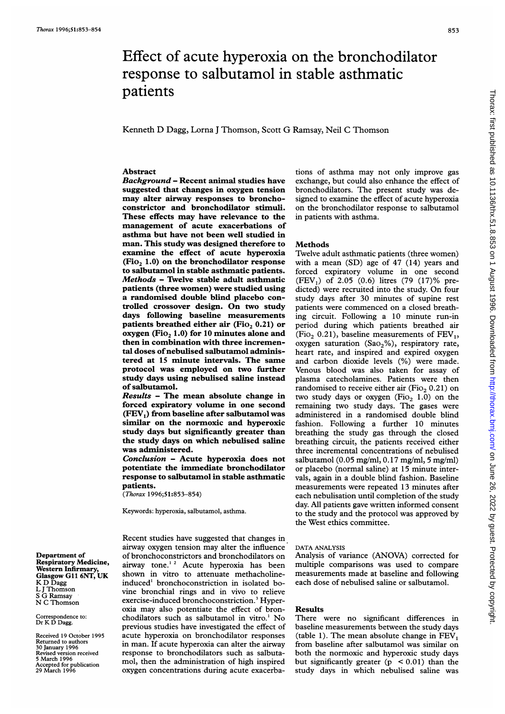### 853

# Effect of acute hyperoxia on the bronchodilator response to salbutamol in stable asthmatic patients

Kenneth D Dagg, Lorna <sup>J</sup> Thomson, Scott G Ramsay, Neil C Thomson

# Abstract

Background - Recent animal studies have suggested that changes in oxygen tension may alter airway responses to bronchoconstrictor and bronchodilator stimuli. These effects may have relevance to the management of acute exacerbations of asthma but have not been well studied in man. This study was designed therefore to examine the effect of acute hyperoxia  $(Fio<sub>2</sub> 1.0)$  on the bronchodilator response to salbutamol in stable asthmatic patients. Methods - Twelve stable adult asthmatic patients (three women) were studied using a randomised double blind placebo controlled crossover design. On two study days following baseline measurements patients breathed either air (Fio,  $0.21$ ) or oxygen (Fio, 1.0) for 10 minutes alone and then in combination with three incremental doses of nebulised salbutamol administered at 15 minute intervals. The same protocol was employed on two further study days using nebulised saline instead of salbutamol.

Results - The mean absolute change in forced expiratory volume in one second  $(FEV<sub>1</sub>)$  from baseline after salbutamol was similar on the normoxic and hyperoxic study days but significantly greater than the study days on which nebulised saline was administered.

Conclusion - Acute hyperoxia does not potentiate the immediate bronchodilator response to salbutamol in stable asthmatic patients.

(Thorax 1996;51:853-854)

Keywords: hyperoxia, salbutamol, asthma.

Recent studies have suggested that changes in airway oxygen tension may alter the influence of bronchoconstrictors and bronchodilators on airway tone.<sup>12</sup> Acute hyperoxia has been shown in vitro to attenuate methacholineinduced' bronchoconstriction in isolated bovine bronchial rings and in vivo to relieve exercise-induced bronchoconstriction.<sup>3</sup> Hyperoxia may also potentiate the effect of bronchodilators such as salbutamol in vitro.' No previous studies have investigated the effect of acute hyperoxia on bronchodilator responses in man. If acute hyperoxia can alter the airway response to bronchodilators such as salbutamol, then the administration of high inspired oxygen concentrations during acute exacerba-

tions of asthma may not only improve gas exchange, but could also enhance the effect of bronchodilators. The present study was designed to examine the effect of acute hyperoxia on the bronchodilator response to salbutamol in patients with asthma.

## Methods

Twelve adult asthmatic patients (three women) with a mean (SD) age of 47 (14) years and forced expiratory volume in one second  $(FEV_1)$  of 2.05 (0.6) litres (79 (17)% predicted) were recruited into the study. On four study days after 30 minutes of supine rest patients were commenced on a closed breathing circuit. Following a 10 minute run-in period during which patients breathed air (Fio<sub>2</sub> 0.21), baseline measurements of  $FEV<sub>1</sub>$ , oxygen saturation (SaO<sub>2</sub>%), respiratory rate, heart rate, and inspired and expired oxygen and carbon dioxide levels (%) were made. Venous blood was also taken for assay of plasma catecholamines. Patients were then randomised to receive either air (Fio<sub>2</sub> 0.21) on two study days or oxygen (Fio<sub>2</sub> 1.0) on the remaining two study days. The gases were administered in a randomised double blind fashion. Following a further 10 minutes breathing the study gas through the closed breathing circuit, the patients received either three incremental concentrations of nebulised salbutamol (0.05 mg/ml, 0.17 mg/ml, 5 mg/ml) or placebo (normal saline) at 15 minute intervals, again in a double blind fashion. Baseline measurements were repeated 13 minutes after each nebulisation until completion of the study day. All patients gave written informed consent to the study and the protocol was approved by the West ethics committee.

#### DATA ANALYSIS

Analysis of variance (ANOVA) corrected for multiple comparisons was used to compare measurements made at baseline and following each dose of nebulised saline or salbutamol.

#### Results

There were no significant differences in baseline measurements between the study days (table 1). The mean absolute change in  $FEV<sub>1</sub>$ from baseline after salbutamol was similar on both the normoxic and hyperoxic study days but significantly greater  $(p \le 0.01)$  than the study days in which nebulised saline was

Department of Respiratory Medicine, Western Infirmary, Glasgow GIl 6NT, UK K D Dagg L <sup>J</sup> Thomson <sup>S</sup> G Ramsay N C Thomson

Correspondence to: Dr K D Dagg.

Received 19 October 1995 Returned to authors 30 January 1996 Revised version received 5 March 1996 Accepted for publication 29 March 1996